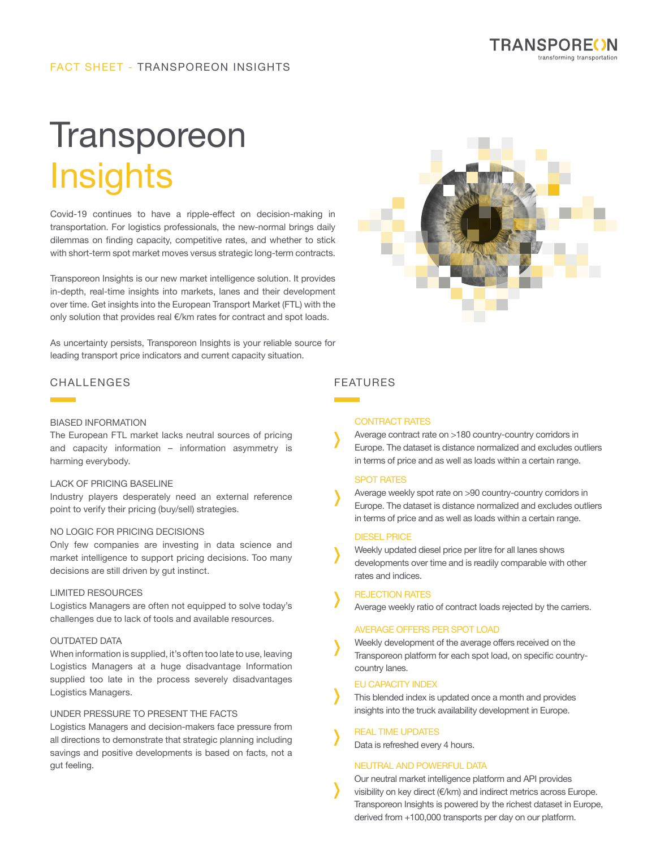

# FACT SHEET - TRANSPOREON INSIGHTS

# **Transporeon** Insights

Covid-19 continues to have a ripple-effect on decision-making in transportation. For logistics professionals, the new-normal brings daily dilemmas on finding capacity, competitive rates, and whether to stick with short-term spot market moves versus strategic long-term contracts.

Transporeon Insights is our new market intelligence solution. It provides in-depth, real-time insights into markets, lanes and their development over time. Get insights into the European Transport Market (FTL) with the only solution that provides real €/km rates for contract and spot loads.

As uncertainty persists, Transporeon Insights is your reliable source for leading transport price indicators and current capacity situation.



# CHALLENGES FEATURES

#### BIASED INFORMATION

The European FTL market lacks neutral sources of pricing and capacity information – information asymmetry is harming everybody.

#### LACK OF PRICING BASELINE

Industry players desperately need an external reference point to verify their pricing (buy/sell) strategies.

#### NO LOGIC FOR PRICING DECISIONS

Only few companies are investing in data science and market intelligence to support pricing decisions. Too many decisions are still driven by gut instinct.

#### LIMITED RESOURCES

Logistics Managers are often not equipped to solve today's challenges due to lack of tools and available resources.

#### OUTDATED DATA

When information is supplied, it's often too late to use, leaving Logistics Managers at a huge disadvantage Information supplied too late in the process severely disadvantages Logistics Managers.

### UNDER PRESSURE TO PRESENT THE FACTS

Logistics Managers and decision-makers face pressure from all directions to demonstrate that strategic planning including savings and positive developments is based on facts, not a gut feeling.

#### CONTRACT RATES

Average contract rate on >180 country-country corridors in Europe. The dataset is distance normalized and excludes outliers in terms of price and as well as loads within a certain range.

#### SPOT RATES

Average weekly spot rate on >90 country-country corridors in Europe. The dataset is distance normalized and excludes outliers in terms of price and as well as loads within a certain range.

#### DIESEL PRICE

Weekly updated diesel price per litre for all lanes shows developments over time and is readily comparable with other rates and indices.

#### REJECTION RATES

Average weekly ratio of contract loads rejected by the carriers.

#### AVERAGE OFFERS PER SPOT LOAD

Weekly development of the average offers received on the Transporeon platform for each spot load, on specific countrycountry lanes.

#### EU CAPACITY INDEX

This blended index is updated once a month and provides insights into the truck availability development in Europe.

#### REAL TIME UPDATES

Data is refreshed every 4 hours.

#### NEUTRAL AND POWERFUL DATA

Our neutral market intelligence platform and API provides visibility on key direct (€/km) and indirect metrics across Europe. Transporeon Insights is powered by the richest dataset in Europe, derived from +100,000 transports per day on our platform.